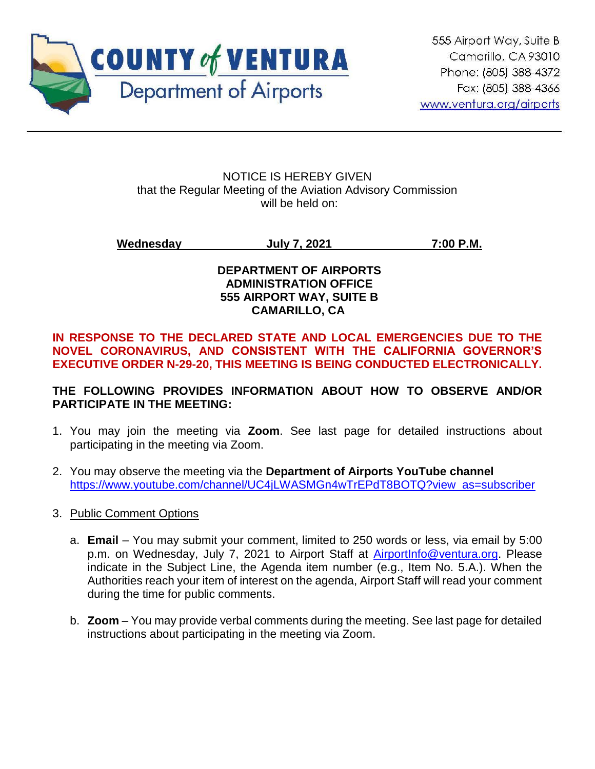

#### NOTICE IS HEREBY GIVEN that the Regular Meeting of the Aviation Advisory Commission will be held on:

**Wednesday July 7, 2021 7:00 P.M.**

## **DEPARTMENT OF AIRPORTS ADMINISTRATION OFFICE 555 AIRPORT WAY, SUITE B CAMARILLO, CA**

## **IN RESPONSE TO THE DECLARED STATE AND LOCAL EMERGENCIES DUE TO THE NOVEL CORONAVIRUS, AND CONSISTENT WITH THE CALIFORNIA GOVERNOR'S EXECUTIVE ORDER N-29-20, THIS MEETING IS BEING CONDUCTED ELECTRONICALLY.**

# **THE FOLLOWING PROVIDES INFORMATION ABOUT HOW TO OBSERVE AND/OR PARTICIPATE IN THE MEETING:**

- 1. You may join the meeting via **Zoom**. See last page for detailed instructions about participating in the meeting via Zoom.
- 2. You may observe the meeting via the **Department of Airports YouTube channel** [https://www.youtube.com/channel/UC4jLWASMGn4wTrEPdT8BOTQ?view\\_as=subscriber](https://www.youtube.com/channel/UC4jLWASMGn4wTrEPdT8BOTQ?view_as=subscriber)
- 3. Public Comment Options
	- a. **Email** You may submit your comment, limited to 250 words or less, via email by 5:00 p.m. on Wednesday, July 7, 2021 to Airport Staff at **AirportInfo@ventura.org**. Please indicate in the Subject Line, the Agenda item number (e.g., Item No. 5.A.). When the Authorities reach your item of interest on the agenda, Airport Staff will read your comment during the time for public comments.
	- b. **Zoom** You may provide verbal comments during the meeting. See last page for detailed instructions about participating in the meeting via Zoom.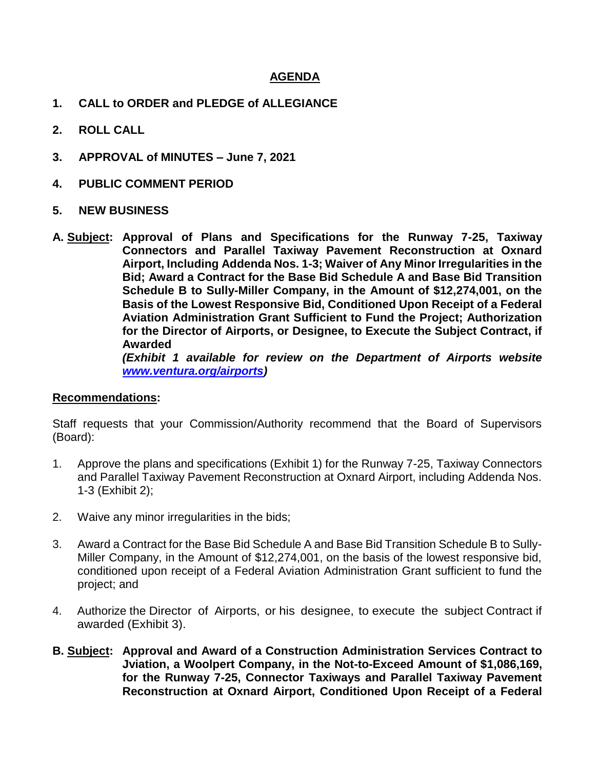#### **AGENDA**

- **1. CALL to ORDER and PLEDGE of ALLEGIANCE**
- **2. ROLL CALL**
- **3. APPROVAL of MINUTES – June 7, 2021**
- **4. PUBLIC COMMENT PERIOD**
- **5. NEW BUSINESS**
- **A. Subject: Approval of Plans and Specifications for the Runway 7-25, Taxiway Connectors and Parallel Taxiway Pavement Reconstruction at Oxnard Airport, Including Addenda Nos. 1-3; Waiver of Any Minor Irregularities in the Bid; Award a Contract for the Base Bid Schedule A and Base Bid Transition Schedule B to Sully-Miller Company, in the Amount of \$12,274,001, on the Basis of the Lowest Responsive Bid, Conditioned Upon Receipt of a Federal Aviation Administration Grant Sufficient to Fund the Project; Authorization for the Director of Airports, or Designee, to Execute the Subject Contract, if Awarded** *(Exhibit 1 available for review on the Department of Airports website*

*[www.ventura.org/airports\)](http://www.ventura.org/airports)* 

#### **Recommendations:**

Staff requests that your Commission/Authority recommend that the Board of Supervisors (Board):

- 1. Approve the plans and specifications (Exhibit 1) for the Runway 7-25, Taxiway Connectors and Parallel Taxiway Pavement Reconstruction at Oxnard Airport, including Addenda Nos. 1-3 (Exhibit 2);
- 2. Waive any minor irregularities in the bids;
- 3. Award a Contract for the Base Bid Schedule A and Base Bid Transition Schedule B to Sully-Miller Company, in the Amount of \$12,274,001, on the basis of the lowest responsive bid, conditioned upon receipt of a Federal Aviation Administration Grant sufficient to fund the project; and
- 4. Authorize the Director of Airports, or his designee, to execute the subject Contract if awarded (Exhibit 3).
- **B. Subject: Approval and Award of a Construction Administration Services Contract to Jviation, a Woolpert Company, in the Not-to-Exceed Amount of \$1,086,169, for the Runway 7-25, Connector Taxiways and Parallel Taxiway Pavement Reconstruction at Oxnard Airport, Conditioned Upon Receipt of a Federal**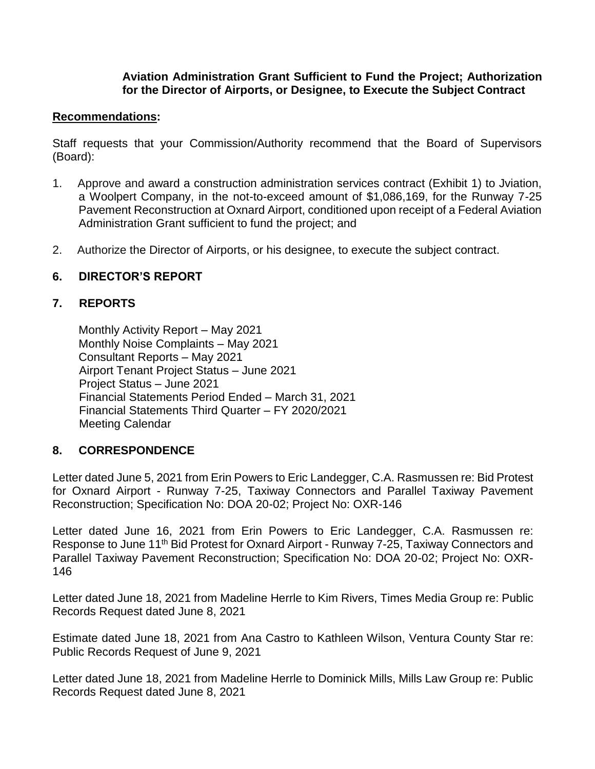#### **Aviation Administration Grant Sufficient to Fund the Project; Authorization for the Director of Airports, or Designee, to Execute the Subject Contract**

#### **Recommendations:**

Staff requests that your Commission/Authority recommend that the Board of Supervisors (Board):

- 1. Approve and award a construction administration services contract (Exhibit 1) to Jviation, a Woolpert Company, in the not-to-exceed amount of \$1,086,169, for the Runway 7-25 Pavement Reconstruction at Oxnard Airport, conditioned upon receipt of a Federal Aviation Administration Grant sufficient to fund the project; and
- 2. Authorize the Director of Airports, or his designee, to execute the subject contract.

#### **6. DIRECTOR'S REPORT**

#### **7. REPORTS**

Monthly Activity Report – May 2021 Monthly Noise Complaints – May 2021 Consultant Reports – May 2021 Airport Tenant Project Status – June 2021 Project Status – June 2021 Financial Statements Period Ended – March 31, 2021 Financial Statements Third Quarter – FY 2020/2021 Meeting Calendar

#### **8. CORRESPONDENCE**

Letter dated June 5, 2021 from Erin Powers to Eric Landegger, C.A. Rasmussen re: Bid Protest for Oxnard Airport - Runway 7-25, Taxiway Connectors and Parallel Taxiway Pavement Reconstruction; Specification No: DOA 20-02; Project No: OXR-146

Letter dated June 16, 2021 from Erin Powers to Eric Landegger, C.A. Rasmussen re: Response to June 11<sup>th</sup> Bid Protest for Oxnard Airport - Runway 7-25, Taxiway Connectors and Parallel Taxiway Pavement Reconstruction; Specification No: DOA 20-02; Project No: OXR-146

Letter dated June 18, 2021 from Madeline Herrle to Kim Rivers, Times Media Group re: Public Records Request dated June 8, 2021

Estimate dated June 18, 2021 from Ana Castro to Kathleen Wilson, Ventura County Star re: Public Records Request of June 9, 2021

Letter dated June 18, 2021 from Madeline Herrle to Dominick Mills, Mills Law Group re: Public Records Request dated June 8, 2021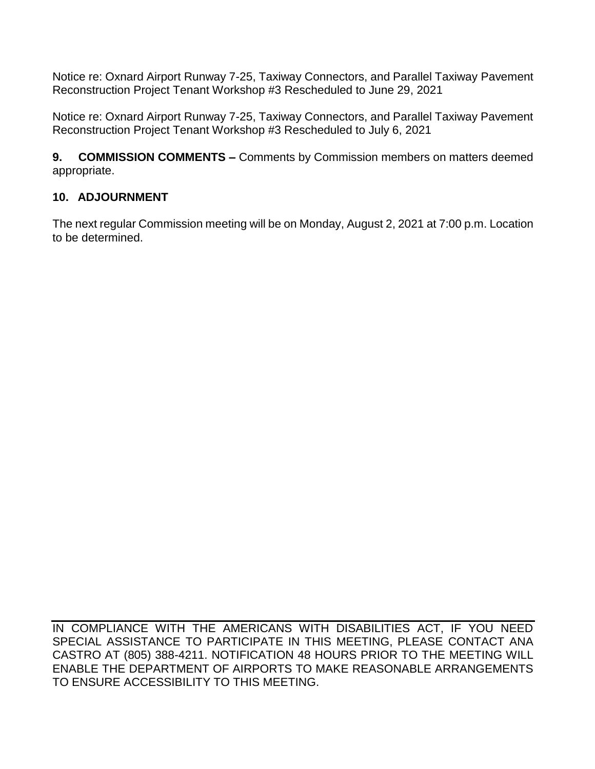Notice re: Oxnard Airport Runway 7-25, Taxiway Connectors, and Parallel Taxiway Pavement Reconstruction Project Tenant Workshop #3 Rescheduled to June 29, 2021

Notice re: Oxnard Airport Runway 7-25, Taxiway Connectors, and Parallel Taxiway Pavement Reconstruction Project Tenant Workshop #3 Rescheduled to July 6, 2021

**9. COMMISSION COMMENTS –** Comments by Commission members on matters deemed appropriate.

# **10. ADJOURNMENT**

The next regular Commission meeting will be on Monday, August 2, 2021 at 7:00 p.m. Location to be determined.

IN COMPLIANCE WITH THE AMERICANS WITH DISABILITIES ACT, IF YOU NEED SPECIAL ASSISTANCE TO PARTICIPATE IN THIS MEETING, PLEASE CONTACT ANA CASTRO AT (805) 388-4211. NOTIFICATION 48 HOURS PRIOR TO THE MEETING WILL ENABLE THE DEPARTMENT OF AIRPORTS TO MAKE REASONABLE ARRANGEMENTS TO ENSURE ACCESSIBILITY TO THIS MEETING.